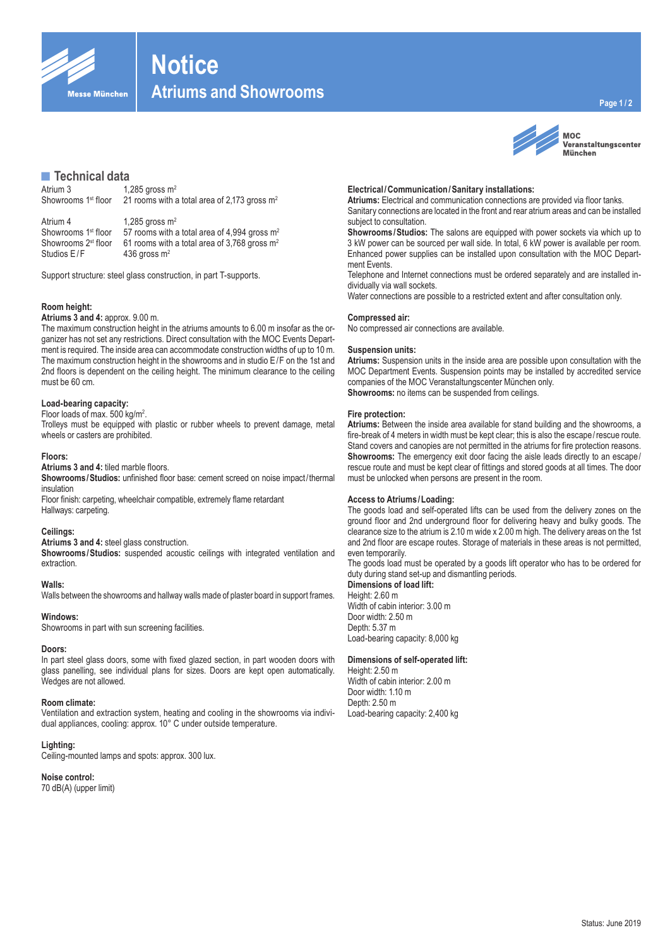

# **Notice**

**Atriums and Showrooms**

# **■Technical data**

| Atrium 3                        | 1,285 gross $m2$                                         |
|---------------------------------|----------------------------------------------------------|
| Showrooms 1 <sup>st</sup> floor | 21 rooms with a total area of 2,173 gross $m2$           |
| Atrium 4                        | 1,285 gross $m2$                                         |
| Showrooms 1 <sup>st</sup> floor | 57 rooms with a total area of 4,994 gross m <sup>2</sup> |
| Showrooms 2 <sup>st</sup> floor | 61 rooms with a total area of 3,768 gross $m2$           |
| Studios E/F                     | 436 gross $m2$                                           |

Support structure: steel glass construction, in part T-supports.

# **Room height:**

#### **Atriums 3 and 4:** approx. 9.00 m.

The maximum construction height in the atriums amounts to 6.00 m insofar as the organizer has not set any restrictions. Direct consultation with the MOC Events Department is required. The inside area can accommodate construction widths of up to 10 m. The maximum construction height in the showrooms and in studio E/F on the 1st and 2nd floors is dependent on the ceiling height. The minimum clearance to the ceiling must be 60 cm.

#### **Load-bearing capacity:**

#### Floor loads of max. 500 kg/m<sup>2</sup>.

Trolleys must be equipped with plastic or rubber wheels to prevent damage, metal wheels or casters are prohibited.

#### **Floors:**

**Atriums 3 and 4:** tiled marble floors.

**Showrooms/Studios:** unfinished floor base: cement screed on noise impact/thermal insulation

Floor finish: carpeting, wheelchair compatible, extremely flame retardant Hallways: carpeting.

# **Ceilings:**

**Atriums 3 and 4:** steel glass construction.

**Showrooms/Studios:** suspended acoustic ceilings with integrated ventilation and extraction.

# **Walls:**

Walls between the showrooms and hallway walls made of plaster board in support frames.

#### **Windows:**

Showrooms in part with sun screening facilities.

#### **Doors:**

In part steel glass doors, some with fixed glazed section, in part wooden doors with glass panelling, see individual plans for sizes. Doors are kept open automatically. Wedges are not allowed.

#### **Room climate:**

Ventilation and extraction system, heating and cooling in the showrooms via individual appliances, cooling: approx. 10° C under outside temperature.

#### **Lighting:**

Ceiling-mounted lamps and spots: approx. 300 lux.

#### **Noise control:**

70 dB(A) (upper limit)



**MOC** Veranstaltungscenter **München** 

# **Electrical/Communication/Sanitary installations:**

**Atriums:** Electrical and communication connections are provided via floor tanks. Sanitary connections are located in the front and rear atrium areas and can be installed subject to consultation.

**Showrooms/Studios:** The salons are equipped with power sockets via which up to 3 kW power can be sourced per wall side. In total, 6 kW power is available per room. Enhanced power supplies can be installed upon consultation with the MOC Department Fyents.

Telephone and Internet connections must be ordered separately and are installed individually via wall sockets.

Water connections are possible to a restricted extent and after consultation only.

#### **Compressed air:**

No compressed air connections are available.

#### **Suspension units:**

**Atriums:** Suspension units in the inside area are possible upon consultation with the MOC Department Events. Suspension points may be installed by accredited service companies of the MOC Veranstaltungscenter München only. **Showrooms:** no items can be suspended from ceilings.

# **Fire protection:**

**Atriums:** Between the inside area available for stand building and the showrooms, a fire-break of 4 meters in width must be kept clear; this is also the escape/rescue route. Stand covers and canopies are not permitted in the atriums for fire protection reasons. **Showrooms:** The emergency exit door facing the aisle leads directly to an escape/ rescue route and must be kept clear of fittings and stored goods at all times. The door must be unlocked when persons are present in the room.

# **Access to Atriums/Loading:**

The goods load and self-operated lifts can be used from the delivery zones on the ground floor and 2nd underground floor for delivering heavy and bulky goods. The clearance size to the atrium is 2.10 m wide x 2.00 m high. The delivery areas on the 1st and 2nd floor are escape routes. Storage of materials in these areas is not permitted, even temporarily.

The goods load must be operated by a goods lift operator who has to be ordered for duty during stand set-up and dismantling periods.

# **Dimensions of load lift:**

Height: 2.60 m Width of cabin interior: 3.00 m Door width: 2.50 m Depth: 5.37 m Load-bearing capacity: 8,000 kg

#### **Dimensions of self-operated lift:**

Height: 2.50 m Width of cabin interior: 2.00 m Door width: 1.10 m Depth: 2.50 m Load-bearing capacity: 2,400 kg